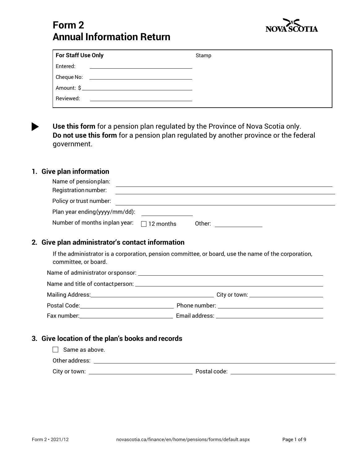

# **Form 2 Annual Information Return**

| For Staff Use Only                                                                          | Stamp |
|---------------------------------------------------------------------------------------------|-------|
| Entered:<br>the contract of the contract of the contract of the contract of the contract of |       |
| Cheque No:<br><u> 1989 - Andrea Station Barbara, amerikan per</u>                           |       |
| Amount: $\oint$                                                                             |       |
| Reviewed:                                                                                   |       |

**Use this form** for a pension plan regulated by the Province of Nova Scotia only. **Do not use this form** for a pension plan regulated by another province or the federal government.

# **1. Give plan information**

| Name of pension plan:          |                   |        |  |
|--------------------------------|-------------------|--------|--|
| Registration number:           |                   |        |  |
| Policy or trust number:        |                   |        |  |
| Plan year ending (yyyy/mm/dd): |                   |        |  |
| Number of months in plan year: | $\vert$ 12 months | Other: |  |

# **2. Give plan administrator's contact information**

If the administrator is a corporation, pension committee, or board, use the name of the corporation, committee, or board.

| Postal Code: The Contract of the Contract of the Contract of the Contract of the Contract of the Contract of the Contract of the Contract of the Contract of the Contract of the Contract of the Contract of the Contract of t |  |
|--------------------------------------------------------------------------------------------------------------------------------------------------------------------------------------------------------------------------------|--|
| Fax number: Note and the set of the set of the set of the set of the set of the set of the set of the set of the set of the set of the set of the set of the set of the set of the set of the set of the set of the set of the |  |

#### **3. Give location of the plan's books and records**

| Same as above. |              |
|----------------|--------------|
| Other address: |              |
| City or town:  | Postal code: |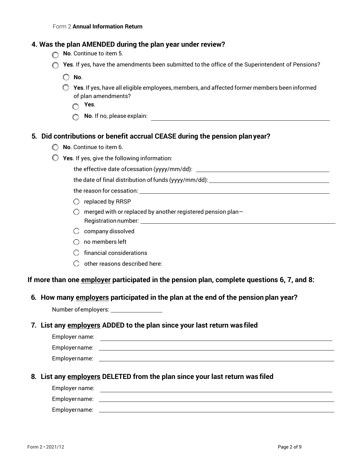# **4. Was the plan AMENDED during the plan year under review?**

- **No**. Continue to item 5.
- **C** Yes. If yes, have the amendments been submitted to the office of the Superintendent of Pensions?
	- **No**.
	- **Yes**. If yes, have all eligible employees, members, and affected former members been informed of plan amendments?
		- **Yes**.
		- **No**. If no, please explain:

#### **5. Did contributions or benefit accrual CEASE during the pension planyear?**

- **No**. Continue to item 6.
- **Yes**. If yes, give the following information:

the effective date ofcessation (yyyy/mm/dd):

the date of final distribution of funds (yyyy/mm/dd): \_\_\_\_\_\_\_\_\_\_\_\_\_\_\_\_\_\_\_\_\_\_\_\_\_\_

the reason for cessation:

- $\bigcirc$  replaced by RRSP
- $\bigcirc$  merged with or replaced by another registered pension plan-Registration number: which is a set of the set of the set of the set of the set of the set of the set of the set of the set of the set of the set of the set of the set of the set of the set of the set of the set of the set
- $\bigcirc$  company dissolved
- $\bigcirc$  no members left
- $\bigcap$  financial considerations
- $\bigcirc$  other reasons described here:

**If more than one employer participated in the pension plan, complete questions 6, 7, and 8:**

**6. How many employers participated in the plan at the end of the pension plan year?**

Number of employers: \_\_\_\_\_\_\_\_\_\_\_\_\_\_\_\_\_\_

#### **7. List any employers ADDED to the plan since your last return was filed**

| Employer name: |  |
|----------------|--|
| Employername:  |  |
| Employername:  |  |

**8. List any employers DELETED from the plan since your last return was filed**

| Employer name: |  |
|----------------|--|
| Employername:  |  |
| Employername:  |  |
|                |  |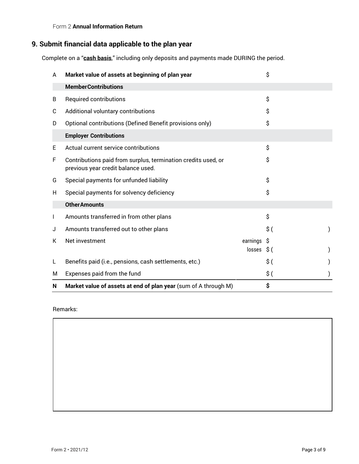#### Form 2 **Annual Information Return**

# **9. Submit financial data applicable to the plan year**

Complete on a "**cash basis**," including only deposits and payments made DURING the period.

| A  | Market value of assets at beginning of plan year                                                    |                              | \$              |  |
|----|-----------------------------------------------------------------------------------------------------|------------------------------|-----------------|--|
|    | <b>MemberContributions</b>                                                                          |                              |                 |  |
| B  | Required contributions                                                                              |                              | \$              |  |
| C  | Additional voluntary contributions                                                                  |                              | Ŝ.              |  |
| D  | Optional contributions (Defined Benefit provisions only)                                            |                              | Ś               |  |
|    | <b>Employer Contributions</b>                                                                       |                              |                 |  |
| Е  | Actual current service contributions                                                                |                              | \$              |  |
| F  | Contributions paid from surplus, termination credits used, or<br>previous year credit balance used. |                              | \$              |  |
| G  | Special payments for unfunded liability                                                             |                              | S               |  |
| H. | Special payments for solvency deficiency                                                            |                              | Ś               |  |
|    | <b>Other Amounts</b>                                                                                |                              |                 |  |
|    | Amounts transferred in from other plans                                                             |                              | \$              |  |
| J  | Amounts transferred out to other plans                                                              |                              | \$(             |  |
| К  | Net investment                                                                                      | earnings \$<br>$losses$ \$ ( |                 |  |
|    | Benefits paid (i.e., pensions, cash settlements, etc.)                                              |                              | $\mathsf{\$}$ ( |  |
| м  | Expenses paid from the fund                                                                         |                              | \$(             |  |
| N  | Market value of assets at end of plan year (sum of A through M)                                     |                              | \$              |  |

Remarks: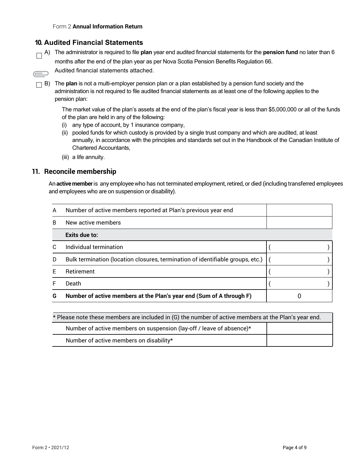## **10. Audited Financial Statements**

A) The administrator is required to file **plan** year end audited financial statements for the **pension fund** no later than 6 months after the end of the plan year as per Nova Scotia Pension Benefits Regulation 66.

Audited financial statements attached.

B) The **plan** is not a multi-employer pension plan or a plan established by a pension fund society and the administration is not required to file audited financial statements as at least one of the following applies to the pension plan:

The market value of the plan's assets at the end of the plan's fiscal year is less than \$5,000,000 or all of the funds of the plan are held in any of the following:

- (i) any type of account, by 1 insurance company,
- (ii) pooled funds for which custody is provided by a single trust company and which are audited, at least annually, in accordance with the principles and standards set out in the Handbook of the Canadian Institute of Chartered Accountants,
- (iii) a life annuity.

#### **11. Reconcile membership**

 $\bigoplus$ 

An**activemember**is any employeewho has not terminated employment, retired, or died (including transferred employees and employees who are on suspension or disability).

| A | Number of active members reported at Plan's previous year end                  |  |
|---|--------------------------------------------------------------------------------|--|
| B | New active members                                                             |  |
|   | Exits due to:                                                                  |  |
|   | Individual termination                                                         |  |
| D | Bulk termination (location closures, termination of identifiable groups, etc.) |  |
|   | Retirement                                                                     |  |
|   | Death                                                                          |  |
| G | Number of active members at the Plan's year end (Sum of A through F)           |  |

| * Please note these members are included in (G) the number of active members at the Plan's year end. |  |  |
|------------------------------------------------------------------------------------------------------|--|--|
| Number of active members on suspension (lay-off / leave of absence)*                                 |  |  |
| Number of active members on disability*                                                              |  |  |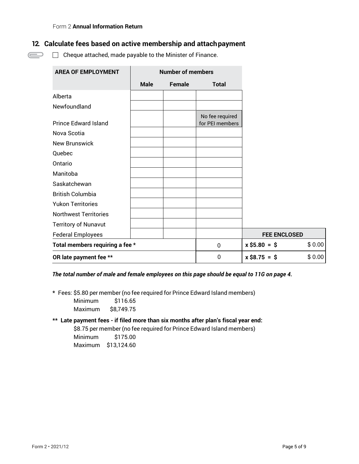$\bigoplus$ 

# **12. Calculate fees based on active membership and attachpayment**

 $\Box$  Cheque attached, made payable to the Minister of Finance.

| <b>AREA OF EMPLOYMENT</b>       | <b>Number of members</b> |        |                                    |                     |        |
|---------------------------------|--------------------------|--------|------------------------------------|---------------------|--------|
|                                 | <b>Male</b>              | Female | <b>Total</b>                       |                     |        |
| Alberta                         |                          |        |                                    |                     |        |
| Newfoundland                    |                          |        |                                    |                     |        |
| <b>Prince Edward Island</b>     |                          |        | No fee required<br>for PEI members |                     |        |
| Nova Scotia                     |                          |        |                                    |                     |        |
| New Brunswick                   |                          |        |                                    |                     |        |
| Quebec                          |                          |        |                                    |                     |        |
| Ontario                         |                          |        |                                    |                     |        |
| Manitoba                        |                          |        |                                    |                     |        |
| Saskatchewan                    |                          |        |                                    |                     |        |
| <b>British Columbia</b>         |                          |        |                                    |                     |        |
| <b>Yukon Territories</b>        |                          |        |                                    |                     |        |
| <b>Northwest Territories</b>    |                          |        |                                    |                     |        |
| <b>Territory of Nunavut</b>     |                          |        |                                    |                     |        |
| <b>Federal Employees</b>        |                          |        |                                    | <b>FEE ENCLOSED</b> |        |
| Total members requiring a fee * |                          |        | 0                                  | $x$ \$5.80 = \$     | \$0.00 |
| OR late payment fee **          |                          |        | $\mathbf 0$                        | $x$ \$8.75 = \$     | \$0.00 |

*The total number of male and female employees on this page should be equal to 11G on page 4.*

**\*** Fees: \$5.80 per member (no fee required for Prince Edward Island members)

Minimum \$116.65 Maximum \$8,749.75

#### **\*\* Late payment fees - if filed more than six months after plan's fiscal year end:**

\$8.75 per member (no fee required for Prince Edward Island members)

Minimum \$175.00 Maximum \$13,124.60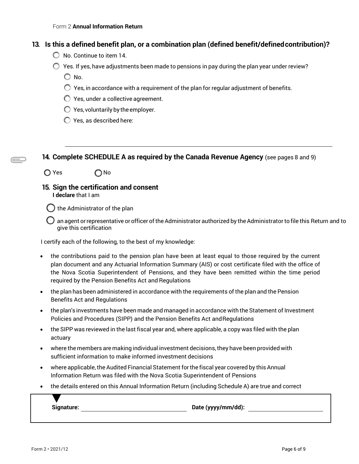#### **13. Is this a defined benefit plan, or a combination plan (defined benefit/definedcontribution)?**

- $\bigcirc$  No. Continue to item 14.
- $\bigcirc$  Yes. If yes, have adjustments been made to pensions in pay during the plan year under review?

 $\bigcirc$  No.

- $\bigcirc$  Yes, in accordance with a requirement of the plan for regular adjustment of benefits.
- Yes, under a collective agreement.
- $\bigcirc$  Yes, voluntarily by the employer.
- Yes, as described here:

**14. Complete SCHEDULE A as required by the Canada Revenue Agency** (see pages 8 and 9)

- $\bigcirc$  Yes  $\bigcirc$  No
- **15. Sign the certification and consent I declare** that I am

) the Administrator of the plan

 $\bigcirc$  an agent or representative or officer of the Administrator authorized by the Administrator to file this Return and to give this certification

I certify each of the following, to the best of my knowledge:

- the contributions paid to the pension plan have been at least equal to those required by the current plan document and any Actuarial Information Summary (AIS) or cost certificate filed with the office of the Nova Scotia Superintendent of Pensions, and they have been remitted within the time period required by the Pension Benefits Act and Regulations
- the plan has been administered in accordance with the requirements of the plan and the Pension Benefits Act and Regulations
- the plan'sinvestments have been made and managed in accordance with the Statement of Investment Policies and Procedures (SIPP) and the Pension Benefits Act andRegulations
- the SIPP was reviewed in the last fiscal year and, where applicable, a copy was filed with the plan actuary
- where the members are making individual investment decisions,they have been provided with sufficient information to make informed investment decisions
- where applicable, the Audited Financial Statement for the fiscal year covered by this Annual Information Return was filed with the Nova Scotia Superintendent of Pensions
- the details entered on this Annual Information Return (including Schedule A) are true and correct

**Signature: Date (yyyy/mm/dd):**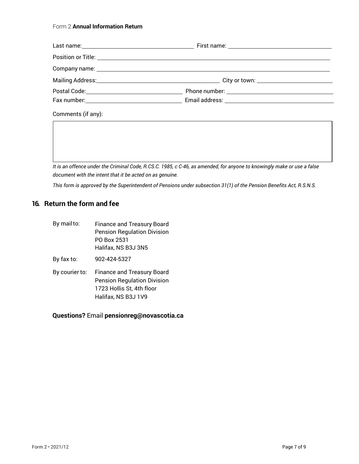#### Form 2 **Annual Information Return**

| Comments (if any): |  |
|--------------------|--|

*It is an offence under the Criminal Code, R.CS.C. 1985, c C-46, as amended, for anyone to knowingly make or use a false document with the intent that it be acted on as genuine.*

*This form is approved by the Superintendent of Pensions under subsection 31(1) of the Pension Benefits Act, R.S.N.S.*

# **16. Return the form and fee**

| By mail to:    | <b>Finance and Treasury Board</b><br><b>Pension Regulation Division</b><br>PO Box 2531<br>Halifax, NS B3J 3N5               |
|----------------|-----------------------------------------------------------------------------------------------------------------------------|
| By fax to:     | 902-424-5327                                                                                                                |
| By courier to: | <b>Finance and Treasury Board</b><br><b>Pension Regulation Division</b><br>1723 Hollis St, 4th floor<br>Halifax, NS B3J 1V9 |

# **Questions?** Email **[pensionreg@novascotia.ca](mailto:pensionreg@novascotia.ca)**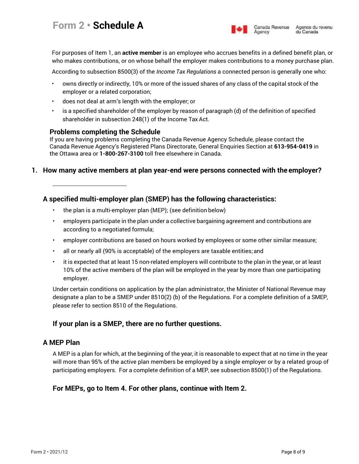

Agency

For purposes of Item 1, an **active member** is an employee who accrues benefits in a defined benefit plan, or who makes contributions, or on whose behalf the employer makes contributions to a money purchase plan.

According to subsection 8500(3) of the *Income Tax Regulations* a connected person is generally one who:

- owns directly or indirectly, 10% or more of the issued shares of any class of the capital stock of the employer or a related corporation;
- does not deal at arm's length with the employer; or
- is a specified shareholder of the employer by reason of paragraph (d) of the definition of specified shareholder in subsection 248(1) of the Income Tax Act.

## **Problems completing the Schedule**

If you are having problems completing the Canada Revenue Agency Schedule, please contact the Canada Revenue Agency's Registered Plans Directorate, General Enquiries Section at **613-954-0419** in the Ottawa area or **1-800-267-3100** toll free elsewhere in Canada.

## **1. How many active members at plan year-end were persons connected with the employer?**

# **A specified multi-employer plan (SMEP) has the following characteristics:**

- the plan is a multi-employer plan (MEP); (see definition below)
- employers participate in the plan under a collective bargaining agreement and contributions are according to a negotiated formula;
- employer contributions are based on hours worked by employees or some other similar measure;
- all or nearly all (90% is acceptable) of the employers are taxable entities;and
- it is expected that at least 15 non-related employers will contribute to the plan in the year, or at least 10% of the active members of the plan will be employed in the year by more than one participating employer.

Under certain conditions on application by the plan administrator, the Minister of National Revenue may designate a plan to be a SMEP under 8510(2) (b) of the Regulations. For a complete definition of a SMEP, please refer to section 8510 of the Regulations.

# **If your plan is a SMEP, there are no further questions.**

# **A MEP Plan**

A MEP is a plan for which, at the beginning of the year, it is reasonable to expect that at no time in the year will more than 95% of the active plan members be employed by a single employer or by a related group of participating employers. For a complete definition of a MEP, see subsection 8500(1) of the Regulations.

# **For MEPs, go to Item 4. For other plans, continue with Item 2.**